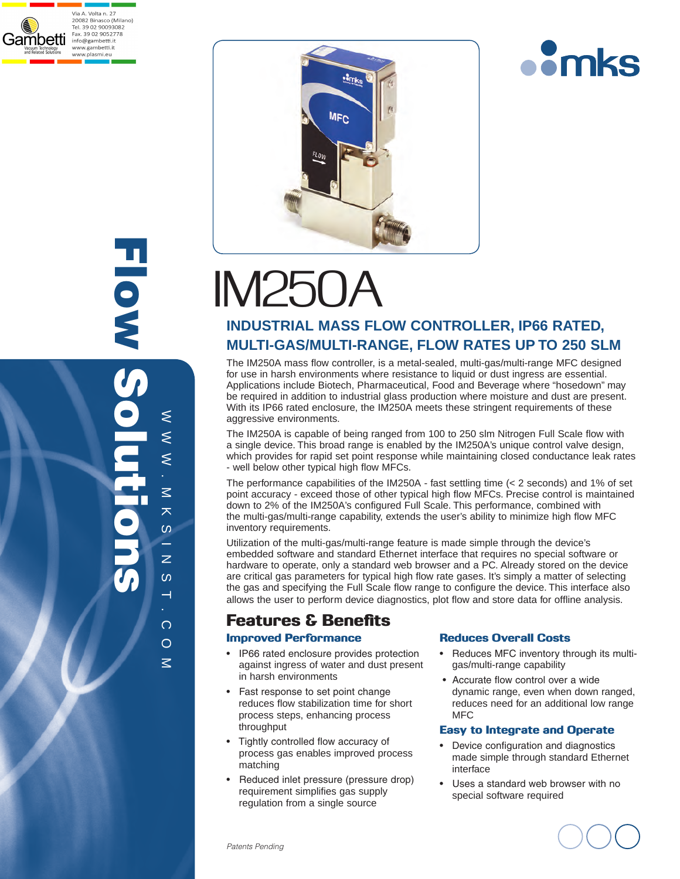

Flow Solutions Eloxy S ⋞  $\approx$   $\approx$  $\leq$  $\leq$ .  $\leq$ M K S I N S I  $\overline{\mathbf{X}}$  $\omega$ ÷.  $\overline{z}$  $\boldsymbol{\omega}$  $\overline{\phantom{0}}$ . com



# $IM25$

### **INDUSTRIAL MAss Flow Controller , IP66 RATED, MULTI-GAS/MULTI-RANGE, FLOW RATES UP TO 250 SLM**

The IM250A mass flow controller, is a metal-sealed, multi-gas/multi-range MFC designed for use in harsh environments where resistance to liquid or dust ingress are essential. Applications include Biotech, Pharmaceutical, Food and Beverage where "hosedown" may be required in addition to industrial glass production where moisture and dust are present. With its IP66 rated enclosure, the IM250A meets these stringent requirements of these aggressive environments.

The IM250A is capable of being ranged from 100 to 250 slm Nitrogen Full Scale flow with a single device. This broad range is enabled by the IM250A's unique control valve design, which provides for rapid set point response while maintaining closed conductance leak rates - well below other typical high flow MFCs.

The performance capabilities of the IM250A - fast settling time (< 2 seconds) and 1% of set point accuracy - exceed those of other typical high flow MFCs. Precise control is maintained down to 2% of the IM250A's configured Full Scale. This performance, combined with the multi-gas/multi-range capability, extends the user's ability to minimize high flow MFC inventory requirements.

Utilization of the multi-gas/multi-range feature is made simple through the device's embedded software and standard Ethernet interface that requires no special software or hardware to operate, only a standard web browser and a PC. Already stored on the device are critical gas parameters for typical high flow rate gases. It's simply a matter of selecting the gas and specifying the Full Scale flow range to configure the device. This interface also allows the user to perform device diagnostics, plot flow and store data for offline analysis.

## Features & Benefits

#### Improved Performance

- IP66 rated enclosure provides protection against ingress of water and dust present in harsh environments
- Fast response to set point change reduces flow stabilization time for short process steps, enhancing process throughput
- Tightly controlled flow accuracy of process gas enables improved process matching
- Reduced inlet pressure (pressure drop) requirement simplifies gas supply regulation from a single source

#### Reduces Overall Costs

• Reduces MFC inventory through its multi gas/multi-range capability

**omks** 

• Accurate flow control over a wide dynamic range, even when down ranged, reduces need for an additional low range MFC

#### Easy to Integrate and Operate

- Device configuration and diagnostics made simple through standard Ethernet interface
- Uses a standard web browser with no special software required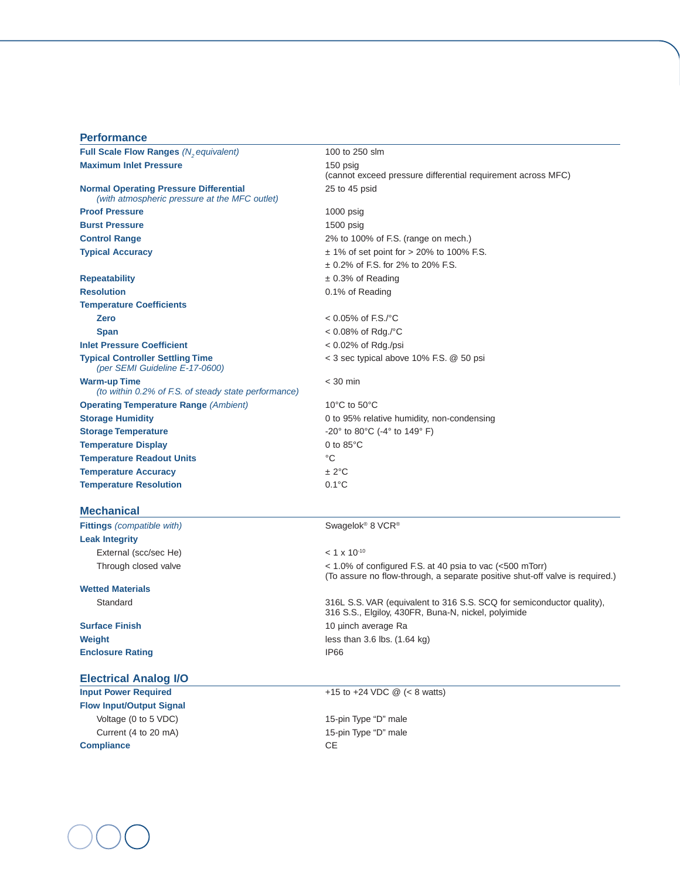| <b>Performance</b>                                                                             |                                                                          |
|------------------------------------------------------------------------------------------------|--------------------------------------------------------------------------|
| Full Scale Flow Ranges (N <sub>2</sub> equivalent)                                             | 100 to 250 slm                                                           |
| <b>Maximum Inlet Pressure</b>                                                                  | 150 psig<br>(cannot exceed pressure differential requirement across MFC) |
| <b>Normal Operating Pressure Differential</b><br>(with atmospheric pressure at the MFC outlet) | 25 to 45 psid                                                            |
| <b>Proof Pressure</b>                                                                          | $1000$ psig                                                              |
| <b>Burst Pressure</b>                                                                          | 1500 psig                                                                |
| <b>Control Range</b>                                                                           | 2% to 100% of F.S. (range on mech.)                                      |
| <b>Typical Accuracy</b>                                                                        | $\pm$ 1% of set point for > 20% to 100% F.S.                             |
|                                                                                                | $\pm$ 0.2% of F.S. for 2% to 20% F.S.                                    |
| <b>Repeatability</b>                                                                           | $\pm$ 0.3% of Reading                                                    |
| <b>Resolution</b>                                                                              | 0.1% of Reading                                                          |
| <b>Temperature Coefficients</b>                                                                |                                                                          |
| <b>Zero</b>                                                                                    | $< 0.05\%$ of F.S./°C                                                    |
| <b>Span</b>                                                                                    | < 0.08% of Rdg./°C                                                       |
| <b>Inlet Pressure Coefficient</b>                                                              | $< 0.02\%$ of Rdg./psi                                                   |
| <b>Typical Controller Settling Time</b><br>(per SEMI Guideline E-17-0600)                      | < 3 sec typical above 10% F.S. @ 50 psi                                  |
| <b>Warm-up Time</b><br>(to within 0.2% of F.S. of steady state performance)                    | $<$ 30 min                                                               |
| <b>Operating Temperature Range (Ambient)</b>                                                   | 10°C to 50°C                                                             |
| <b>Storage Humidity</b>                                                                        | 0 to 95% relative humidity, non-condensing                               |
| <b>Storage Temperature</b>                                                                     | -20 $^{\circ}$ to 80 $^{\circ}$ C (-4 $^{\circ}$ to 149 $^{\circ}$ F)    |
| <b>Temperature Display</b>                                                                     | 0 to $85^{\circ}$ C                                                      |
| <b>Temperature Readout Units</b>                                                               | $^{\circ}C$                                                              |
| <b>Temperature Accuracy</b>                                                                    | ± 2°C                                                                    |
| <b>Temperature Resolution</b>                                                                  | $0.1^{\circ}$ C                                                          |
| <b>Mechanical</b>                                                                              |                                                                          |
| <b>Fittings</b> (compatible with)                                                              | Swagelok <sup>®</sup> 8 VCR <sup>®</sup>                                 |
| <b>Leak Integrity</b>                                                                          |                                                                          |
| External (scc/sec He)                                                                          | $< 1 \times 10^{-10}$                                                    |

# **Wetted Materials**

**Enclosure Rating IP66** 

#### **Electrical Analog I/O**

**Flow Input/Output Signal**  Voltage (0 to 5 VDC) voltage (0 to 5 VDC) Current (4 to 20 mA) 15-pin Type "D" male **Compliance** CE

Through closed valve< 1.0% of configured F.S. at 40 psia to vac (<500 mTorr) (To assure no flow-through, a separate positive shut-off valve is required.)

Standard316L S.S. VAR (equivalent to 316 S.S. SCQ for semiconductor quality), 316 S.S., Elgiloy, 430FR, Buna-N, nickel, polyimide **Surface Finish** 10 µinch average Ra **Weight less than 3.6 lbs. (1.64 kg)** 

**Input Power Required**  $+15$  to  $+24$  VDC @ (< 8 watts)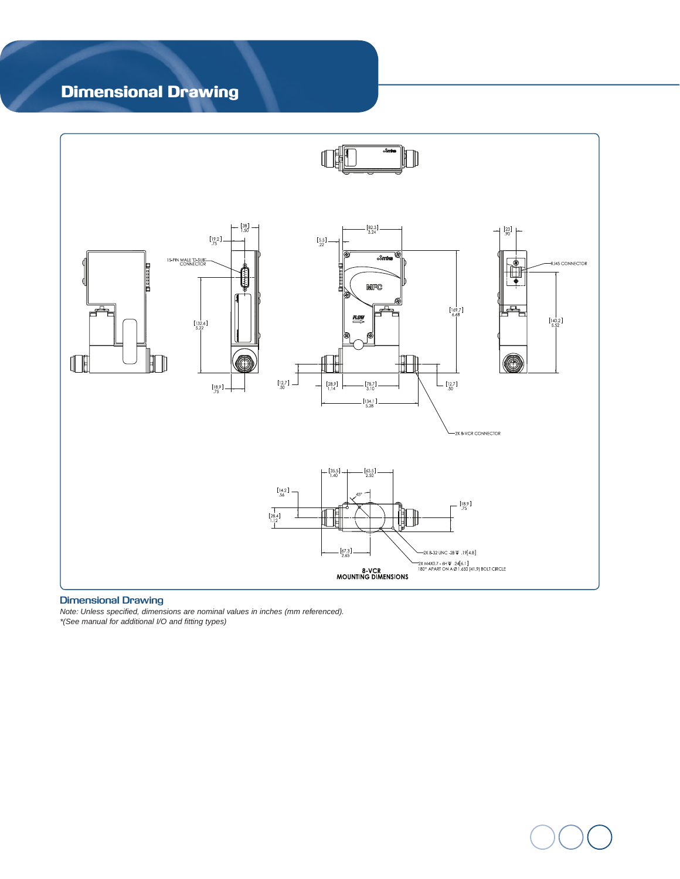# Dimensional Drawing



#### **Dimensional Drawing**

*Note: Unless specified, dimensions are nominal values in inches (mm referenced). \*(See manual for additional I/O and fitting types)*